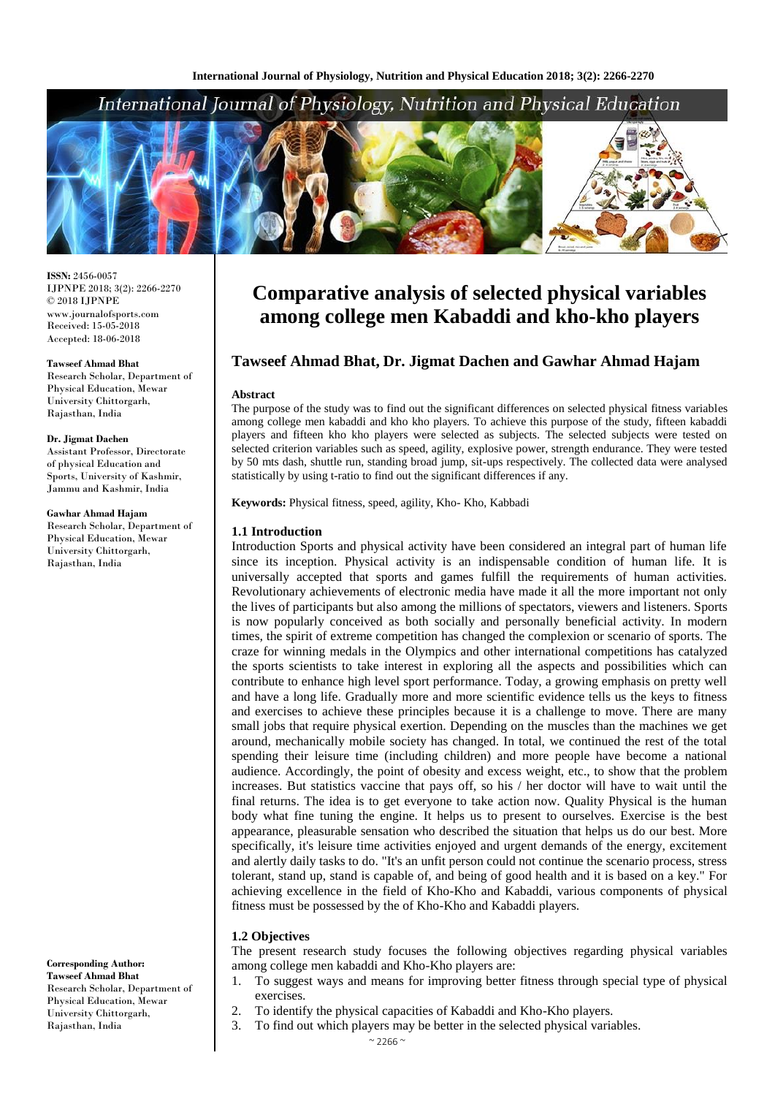

**ISSN:** 2456-0057 IJPNPE 2018; 3(2): 2266-2270  $\odot$  2018 IJPNPE www.journalofsports.com Received: 15-05-2018 Accepted: 18-06-2018

#### **Tawseef Ahmad Bhat**

Research Scholar, Department of Physical Education, Mewar University Chittorgarh, Rajasthan, India

#### **Dr. Jigmat Dachen**

Assistant Professor, Directorate of physical Education and Sports, University of Kashmir, Jammu and Kashmir, India

#### **Gawhar Ahmad Hajam**

Research Scholar, Department of Physical Education, Mewar University Chittorgarh, Rajasthan, India

**Corresponding Author: Tawseef Ahmad Bhat** Research Scholar, Department of Physical Education, Mewar University Chittorgarh, Rajasthan, India

# **Comparative analysis of selected physical variables among college men Kabaddi and kho-kho players**

# **Tawseef Ahmad Bhat, Dr. Jigmat Dachen and Gawhar Ahmad Hajam**

#### **Abstract**

The purpose of the study was to find out the significant differences on selected physical fitness variables among college men kabaddi and kho kho players. To achieve this purpose of the study, fifteen kabaddi players and fifteen kho kho players were selected as subjects. The selected subjects were tested on selected criterion variables such as speed, agility, explosive power, strength endurance. They were tested by 50 mts dash, shuttle run, standing broad jump, sit-ups respectively. The collected data were analysed statistically by using t-ratio to find out the significant differences if any.

**Keywords:** Physical fitness, speed, agility, Kho- Kho, Kabbadi

## **1.1 Introduction**

Introduction Sports and physical activity have been considered an integral part of human life since its inception. Physical activity is an indispensable condition of human life. It is universally accepted that sports and games fulfill the requirements of human activities. Revolutionary achievements of electronic media have made it all the more important not only the lives of participants but also among the millions of spectators, viewers and listeners. Sports is now popularly conceived as both socially and personally beneficial activity. In modern times, the spirit of extreme competition has changed the complexion or scenario of sports. The craze for winning medals in the Olympics and other international competitions has catalyzed the sports scientists to take interest in exploring all the aspects and possibilities which can contribute to enhance high level sport performance. Today, a growing emphasis on pretty well and have a long life. Gradually more and more scientific evidence tells us the keys to fitness and exercises to achieve these principles because it is a challenge to move. There are many small jobs that require physical exertion. Depending on the muscles than the machines we get around, mechanically mobile society has changed. In total, we continued the rest of the total spending their leisure time (including children) and more people have become a national audience. Accordingly, the point of obesity and excess weight, etc., to show that the problem increases. But statistics vaccine that pays off, so his / her doctor will have to wait until the final returns. The idea is to get everyone to take action now. Quality Physical is the human body what fine tuning the engine. It helps us to present to ourselves. Exercise is the best appearance, pleasurable sensation who described the situation that helps us do our best. More specifically, it's leisure time activities enjoyed and urgent demands of the energy, excitement and alertly daily tasks to do. "It's an unfit person could not continue the scenario process, stress tolerant, stand up, stand is capable of, and being of good health and it is based on a key." For achieving excellence in the field of Kho-Kho and Kabaddi, various components of physical fitness must be possessed by the of Kho-Kho and Kabaddi players.

## **1.2 Objectives**

The present research study focuses the following objectives regarding physical variables among college men kabaddi and Kho-Kho players are:

- 1. To suggest ways and means for improving better fitness through special type of physical exercises.
- 2. To identify the physical capacities of Kabaddi and Kho-Kho players.
- 3. To find out which players may be better in the selected physical variables.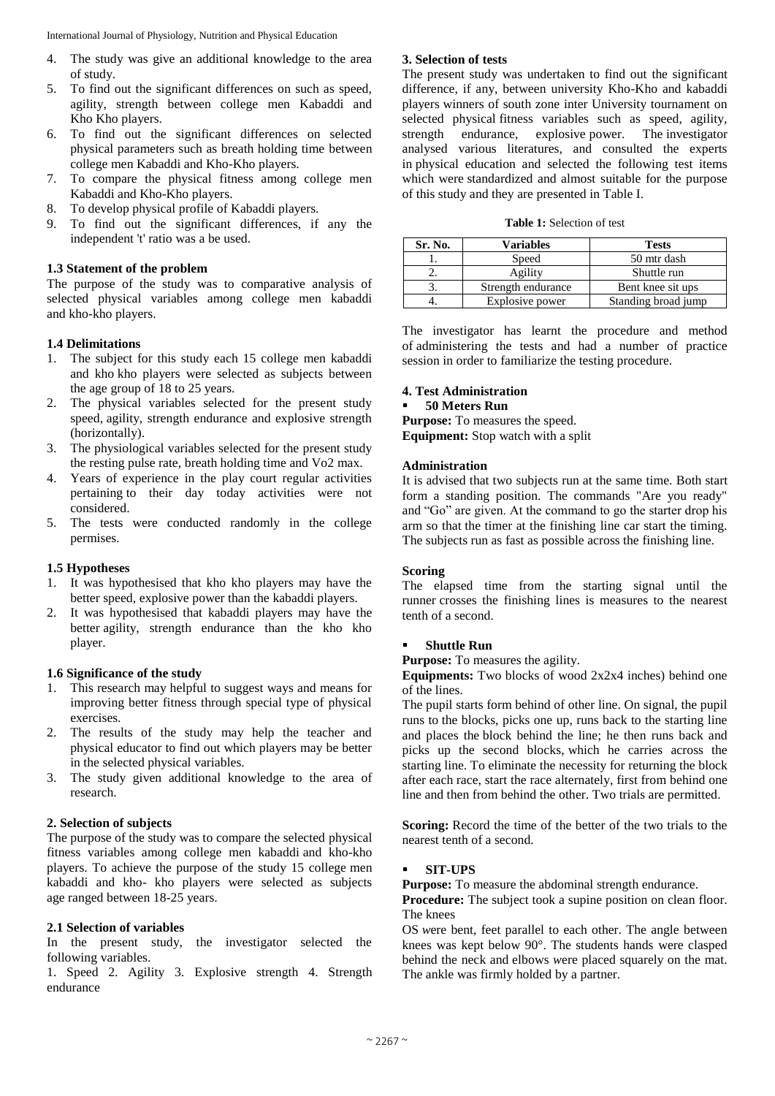- 4. The study was give an additional knowledge to the area of study.
- 5. To find out the significant differences on such as speed, agility, strength between college men Kabaddi and Kho Kho players.
- 6. To find out the significant differences on selected physical parameters such as breath holding time between college men Kabaddi and Kho-Kho players.
- 7. To compare the physical fitness among college men Kabaddi and Kho-Kho players.
- 8. To develop physical profile of Kabaddi players.
- 9. To find out the significant differences, if any the independent 't' ratio was a be used.

## **1.3 Statement of the problem**

The purpose of the study was to comparative analysis of selected physical variables among college men kabaddi and kho-kho players.

## **1.4 Delimitations**

- 1. The subject for this study each 15 college men kabaddi and kho kho players were selected as subjects between the age group of 18 to 25 years.
- 2. The physical variables selected for the present study speed, agility, strength endurance and explosive strength (horizontally).
- 3. The physiological variables selected for the present study the resting pulse rate, breath holding time and Vo2 max.
- 4. Years of experience in the play court regular activities pertaining to their day today activities were not considered.
- 5. The tests were conducted randomly in the college permises.

## **1.5 Hypotheses**

- 1. It was hypothesised that kho kho players may have the better speed, explosive power than the kabaddi players.
- 2. It was hypothesised that kabaddi players may have the better agility, strength endurance than the kho kho player.

## **1.6 Significance of the study**

- 1. This research may helpful to suggest ways and means for improving better fitness through special type of physical exercises.
- 2. The results of the study may help the teacher and physical educator to find out which players may be better in the selected physical variables.
- 3. The study given additional knowledge to the area of research.

## **2. Selection of subjects**

The purpose of the study was to compare the selected physical fitness variables among college men kabaddi and kho-kho players. To achieve the purpose of the study 15 college men kabaddi and kho- kho players were selected as subjects age ranged between 18-25 years.

## **2.1 Selection of variables**

In the present study, the investigator selected the following variables.

1. Speed 2. Agility 3. Explosive strength 4. Strength endurance

## **3. Selection of tests**

The present study was undertaken to find out the significant difference, if any, between university Kho-Kho and kabaddi players winners of south zone inter University tournament on selected physical fitness variables such as speed, agility, strength endurance, explosive power. The investigator analysed various literatures, and consulted the experts in physical education and selected the following test items which were standardized and almost suitable for the purpose of this study and they are presented in Table I.

|  |  | <b>Table 1:</b> Selection of test |  |  |
|--|--|-----------------------------------|--|--|
|--|--|-----------------------------------|--|--|

| Sr. No. | <b>Variables</b>   | <b>Tests</b>        |
|---------|--------------------|---------------------|
|         | Speed              | 50 mtr dash         |
|         | Agility            | Shuttle run         |
|         | Strength endurance | Bent knee sit ups   |
|         | Explosive power    | Standing broad jump |

The investigator has learnt the procedure and method of administering the tests and had a number of practice session in order to familiarize the testing procedure.

# **4. Test Administration**

# **50 Meters Run**

**Purpose:** To measures the speed.

**Equipment:** Stop watch with a split

# **Administration**

It is advised that two subjects run at the same time. Both start form a standing position. The commands "Are you ready" and "Go" are given. At the command to go the starter drop his arm so that the timer at the finishing line car start the timing. The subjects run as fast as possible across the finishing line.

## **Scoring**

The elapsed time from the starting signal until the runner crosses the finishing lines is measures to the nearest tenth of a second.

## **Shuttle Run**

**Purpose:** To measures the agility.

**Equipments:** Two blocks of wood 2x2x4 inches) behind one of the lines.

The pupil starts form behind of other line. On signal, the pupil runs to the blocks, picks one up, runs back to the starting line and places the block behind the line; he then runs back and picks up the second blocks, which he carries across the starting line. To eliminate the necessity for returning the block after each race, start the race alternately, first from behind one line and then from behind the other. Two trials are permitted.

**Scoring:** Record the time of the better of the two trials to the nearest tenth of a second.

## **SIT-UPS**

**Purpose:** To measure the abdominal strength endurance.

**Procedure:** The subject took a supine position on clean floor. The knees

OS *w*ere bent, feet parallel to each other. The angle between knees was kept below 90°. The students hands were clasped behind the neck and elbows *w*ere placed squarely on the mat. The ankle was firmly holded by a partner.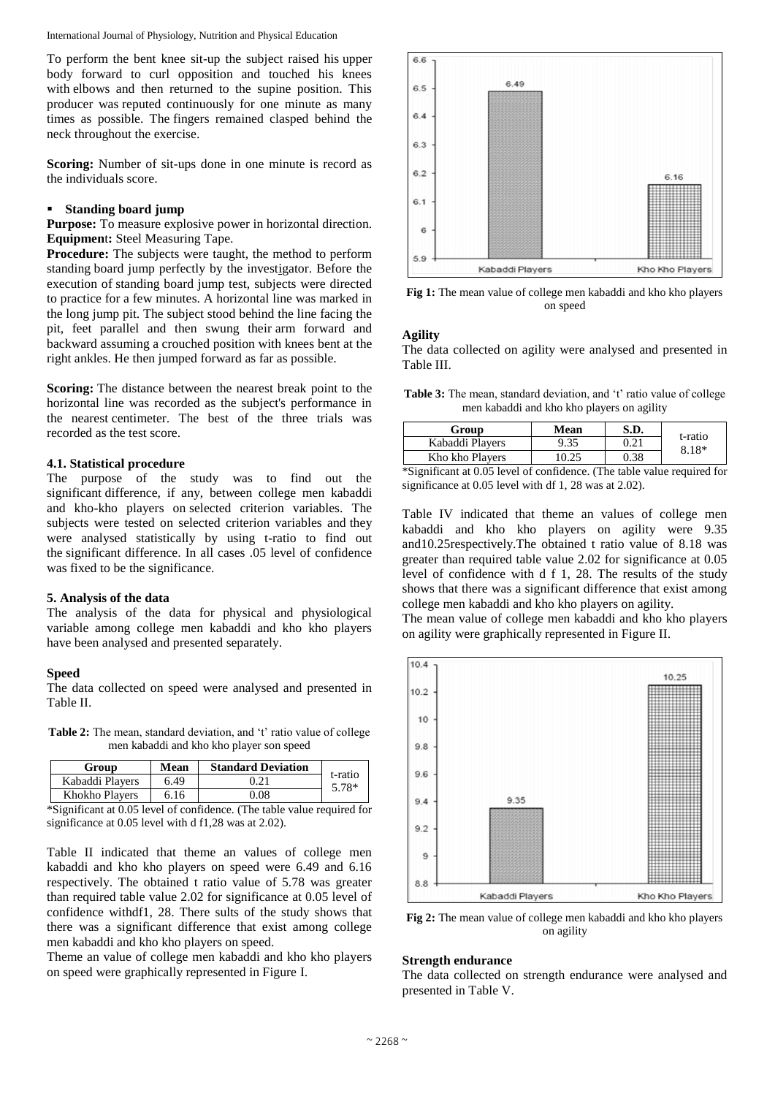To perform the bent knee sit-up the subject raised his upper body forward to curl opposition and touched his knees with elbows and then returned to the supine position. This producer was reputed continuously for one minute as many times as possible. The fingers remained clasped behind the neck throughout the exercise.

**Scoring:** Number of sit-ups done in one minute is record as the individuals score.

# **Standing board jump**

**Purpose:** To measure explosive power in horizontal direction. **Equipmen**t**:** Steel Measuring Tape.

**Procedure:** The subjects were taught, the method to perform standing board jump perfectly by the investigator. Before the execution of standing board jump test, subjects were directed to practice for a few minutes. A horizontal line was marked in the long jump pit. The subject stood behind the line facing the pit, feet parallel and then swung their arm forward and backward assuming a crouched position with knees bent at the right ankles. He then jumped forward as far as possible.

**Scoring:** The distance between the nearest break point to the horizontal line was recorded as the subject's performance in the nearest centimeter. The best of the three trials was recorded as the test score.

#### **4.1. Statistical procedure**

The purpose of the study was to find out the significant difference, if any, bet*w*een college men kabaddi and kho-kho players on selected criterion variables. The subjects were tested on selected criterion variables and they were analysed statistically by using t-ratio to find out the significant difference. In all cases .05 level of confidence was fixed to be the significance.

#### **5. Analysis of the data**

The analysis of the data for physical and physiological variable among college men kabaddi and kho kho players have been analysed and presented separately.

#### **Speed**

The data collected on speed were analysed and presented in Table II.

**Table 2:** The mean, standard deviation, and 't' ratio value of college men kabaddi and kho kho player son speed

| Group           | Mean | <b>Standard Deviation</b> |                  |
|-----------------|------|---------------------------|------------------|
| Kabaddi Players | 6.49 | 0.21                      | t-ratio<br>5.78* |
| Khokho Players  | 6.16 | 0.08                      |                  |

\*Significant at 0.05 level of confidence. (The table value required for significance at 0.05 level with d f1,28 was at 2.02).

Table II indicated that theme an values of college men kabaddi and kho kho players on speed were 6.49 and 6.16 respectively. The obtained t ratio value of 5.78 was greater than required table value 2.02 for significance at 0.05 level of confidence withdf1, 28. There sults of the study shows that there was a significant difference that exist among college men kabaddi and kho kho players on speed.

Theme an value of college men kabaddi and kho kho players on speed were graphically represented in Figure I.



**Fig 1:** The mean value of college men kabaddi and kho kho players on speed

# **Agility**

The data collected on agility were analysed and presented in Table III.

Table 3: The mean, standard deviation, and 't' ratio value of college men kabaddi and kho kho players on agility

| Group           | Mean  | S.D. |                    |  |
|-----------------|-------|------|--------------------|--|
| Kabaddi Players | 9.35  | 0.21 | t-ratio<br>$8.18*$ |  |
| Kho kho Players | 10 25 | 0.38 |                    |  |

\*Significant at 0.05 level of confidence. (The table value required for significance at 0.05 level with df 1, 28 was at 2.02).

Table IV indicated that theme an values of college men kabaddi and kho kho players on agility were 9.35 and10.25respectively.The obtained t ratio value of 8.18 was greater than required table value 2.02 for significance at 0.05 level of confidence with d f 1, 28. The results of the study shows that there was a significant difference that exist among college men kabaddi and kho kho players on agility.

The mean value of college men kabaddi and kho kho players on agility were graphically represented in Figure II.



**Fig 2:** The mean value of college men kabaddi and kho kho players on agility

## **Strength endurance**

The data collected on strength endurance were analysed and presented in Table V.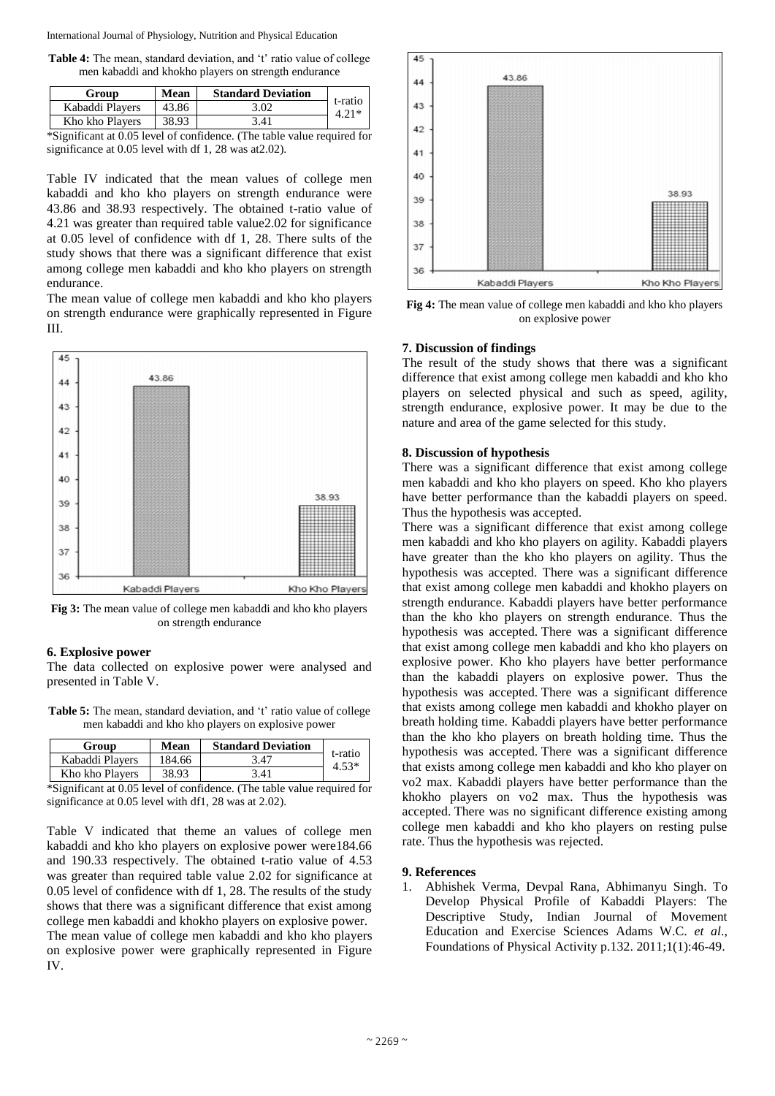**Table 4:** The mean, standard deviation, and 't' ratio value of college men kabaddi and khokho players on strength endurance

| Group                                               | <b>Mean</b> | <b>Standard Deviation</b> |                    |
|-----------------------------------------------------|-------------|---------------------------|--------------------|
| Kabaddi Players                                     | 43.86       | 3.02                      | t-ratio<br>$4.21*$ |
| Kho kho Players                                     | 38.93       | 3.41                      |                    |
| $\sim$<br>$\sim$ $\sim$ $\sim$ $\sim$ $\sim$ $\sim$ |             | $\sim$                    |                    |

\*Significant at 0.05 level of confidence. (The table value required for significance at 0.05 level with df 1, 28 was at2.02).

Table IV indicated that the mean values of college men kabaddi and kho kho players on strength endurance were 43.86 and 38.93 respectively. The obtained t-ratio value of 4.21 was greater than required table value2.02 for significance at 0.05 level of confidence with df 1, 28. There sults of the study shows that there was a significant difference that exist among college men kabaddi and kho kho players on strength endurance.

The mean value of college men kabaddi and kho kho players on strength endurance were graphically represented in Figure III.



**Fig 3:** The mean value of college men kabaddi and kho kho players on strength endurance

# **6. Explosive power**

The data collected on explosive power were analysed and presented in Table V.

**Table 5:** The mean, standard deviation, and 't' ratio value of college men kabaddi and kho kho players on explosive power

| Group           | Mean   | <b>Standard Deviation</b> |                    |
|-----------------|--------|---------------------------|--------------------|
| Kabaddi Players | 184.66 | 3.47                      | t-ratio<br>$4.53*$ |
| Kho kho Players | 38.93  | 3.41                      |                    |

\*Significant at 0.05 level of confidence. (The table value required for significance at 0.05 level with df1, 28 was at 2.02).

Table V indicated that theme an values of college men kabaddi and kho kho players on explosive power were184.66 and 190.33 respectively. The obtained t-ratio value of 4.53 was greater than required table value 2.02 for significance at 0.05 level of confidence with df 1, 28. The results of the study shows that there was a significant difference that exist among college men kabaddi and khokho players on explosive power. The mean value of college men kabaddi and kho kho players on explosive power were graphically represented in Figure IV.



**Fig 4:** The mean value of college men kabaddi and kho kho players on explosive power

## **7. Discussion of findings**

The result of the study shows that there was a significant difference that exist among college men kabaddi and kho kho players on selected physical and such as speed, agility, strength endurance, explosive power. It may be due to the nature and area of the game selected for this study.

## **8. Discussion of hypothesis**

There was a significant difference that exist among college men kabaddi and kho kho players on speed. Kho kho players have better performance than the kabaddi players on speed. Thus the hypothesis was accepted.

There was a significant difference that exist among college men kabaddi and kho kho players on agility. Kabaddi players have greater than the kho kho players on agility. Thus the hypothesis was accepted. There was a significant difference that exist among college men kabaddi and khokho players on strength endurance. Kabaddi players have better performance than the kho kho players on strength endurance. Thus the hypothesis was accepted. There was a significant difference that exist among college men kabaddi and kho kho players on explosive power. Kho kho players have better performance than the kabaddi players on explosive power. Thus the hypothesis was accepted. There was a significant difference that exists among college men kabaddi and khokho player on breath holding time. Kabaddi players have better performance than the kho kho players on breath holding time. Thus the hypothesis was accepted. There was a significant difference that exists among college men kabaddi and kho kho player on vo2 max. Kabaddi players have better performance than the khokho players on vo2 max. Thus the hypothesis was accepted. There was no significant difference existing among college men kabaddi and kho kho players on resting pulse rate. Thus the hypothesis was rejected.

# **9. References**

1. Abhishek Verma, Devpal Rana, Abhimanyu Singh. To Develop Physical Profile of Kabaddi Players: The Descriptive Study, Indian Journal of Movement Education and Exercise Sciences Adams W.C. *et al*., Foundations of Physical Activity p.132. 2011;1(1):46-49.